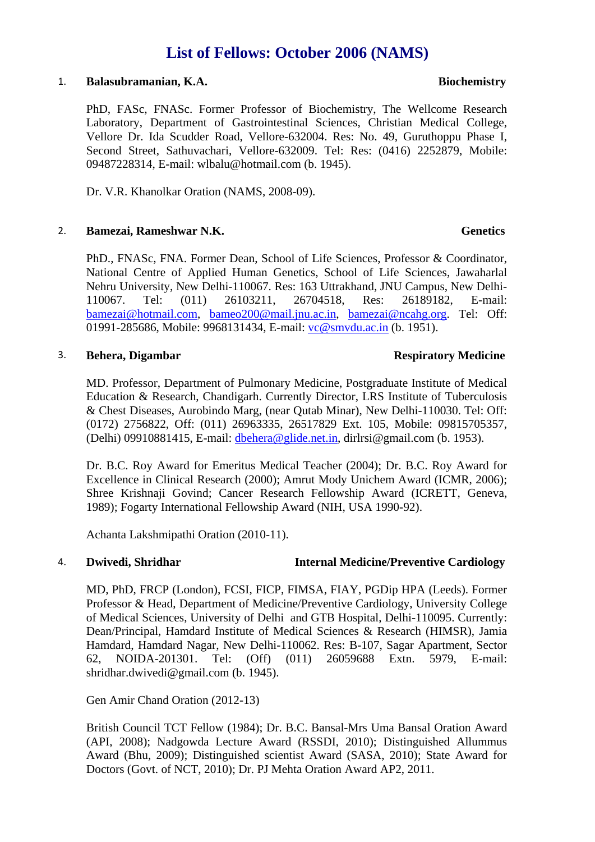# **List of Fellows: October 2006 (NAMS)**

### 1. **Balasubramanian, K.A. Biochemistry**

PhD, FASc, FNASc. Former Professor of Biochemistry, The Wellcome Research Laboratory, Department of Gastrointestinal Sciences, Christian Medical College, Vellore Dr. Ida Scudder Road, Vellore-632004. Res: No. 49, Guruthoppu Phase I, Second Street, Sathuvachari, Vellore-632009. Tel: Res: (0416) 2252879, Mobile: 09487228314, E-mail: wlbalu@hotmail.com (b. 1945).

Dr. V.R. Khanolkar Oration (NAMS, 2008-09).

# 2. **Bamezai, Rameshwar N.K.** Genetics **Genetics**

PhD., FNASc, FNA. Former Dean, School of Life Sciences, Professor & Coordinator, National Centre of Applied Human Genetics, School of Life Sciences, Jawaharlal Nehru University, New Delhi-110067. Res: 163 Uttrakhand, JNU Campus, New Delhi-110067. Tel: (011) 26103211, 26704518, Res: 26189182, E-mail: [bamezai@hotmail.com,](mailto:bamezai@hotmail.com) [bameo200@mail.jnu.ac.in,](mailto:bameo200@mail.jnu.ac.in) [bamezai@ncahg.org](mailto:bamezai@ncahg.org). Tel: Off: 01991-285686, Mobile: 9968131434, E-mail: [vc@smvdu.ac.in](mailto:vc@smvdu.ac.in) (b. 1951).

### 3. **Behera, Digambar Respiratory Medicine**

# MD. Professor, Department of Pulmonary Medicine, Postgraduate Institute of Medical Education & Research, Chandigarh. Currently Director, LRS Institute of Tuberculosis & Chest Diseases, Aurobindo Marg, (near Qutab Minar), New Delhi-110030. Tel: Off: (0172) 2756822, Off: (011) 26963335, 26517829 Ext. 105, Mobile: 09815705357, (Delhi) 09910881415, E-mail: [dbehera@glide.net.in](mailto:dbehera@glide.net.in), dirlrsi@gmail.com (b. 1953).

Dr. B.C. Roy Award for Emeritus Medical Teacher (2004); Dr. B.C. Roy Award for Excellence in Clinical Research (2000); Amrut Mody Unichem Award (ICMR, 2006); Shree Krishnaji Govind; Cancer Research Fellowship Award (ICRETT, Geneva, 1989); Fogarty International Fellowship Award (NIH, USA 1990-92).

Achanta Lakshmipathi Oration (2010-11).

# 4. **Dwivedi, Shridhar Internal Medicine/Preventive Cardiology**

MD, PhD, FRCP (London), FCSI, FICP, FIMSA, FIAY, PGDip HPA (Leeds). Former Professor & Head, Department of Medicine/Preventive Cardiology, University College of Medical Sciences, University of Delhi and GTB Hospital, Delhi-110095. Currently: Dean/Principal, Hamdard Institute of Medical Sciences & Research (HIMSR), Jamia Hamdard, Hamdard Nagar, New Delhi-110062. Res: B-107, Sagar Apartment, Sector 62, NOIDA-201301. Tel: (Off) (011) 26059688 Extn. 5979, E-mail: shridhar.dwivedi@gmail.com (b. 1945).

Gen Amir Chand Oration (2012-13)

British Council TCT Fellow (1984); Dr. B.C. Bansal-Mrs Uma Bansal Oration Award (API, 2008); Nadgowda Lecture Award (RSSDI, 2010); Distinguished Allummus Award (Bhu, 2009); Distinguished scientist Award (SASA, 2010); State Award for Doctors (Govt. of NCT, 2010); Dr. PJ Mehta Oration Award AP2, 2011.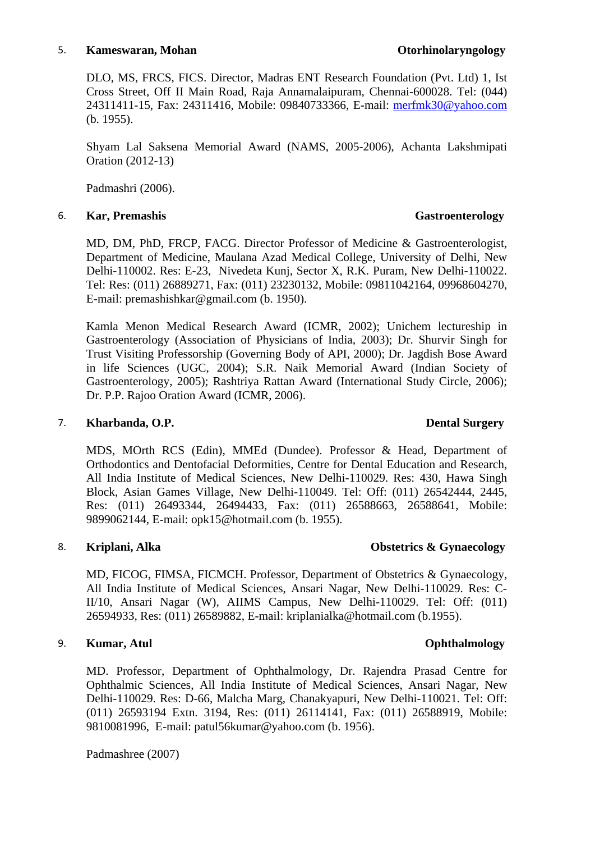### 5. **Kameswaran, Mohan Otorhinolaryngology**

DLO, MS, FRCS, FICS. Director, Madras ENT Research Foundation (Pvt. Ltd) 1, Ist Cross Street, Off II Main Road, Raja Annamalaipuram, Chennai-600028. Tel: (044) 24311411-15, Fax: 24311416, Mobile: 09840733366, E-mail: [merfmk30@yahoo.com](mailto:merfmk30@yahoo.com) (b. 1955).

Shyam Lal Saksena Memorial Award (NAMS, 2005-2006), Achanta Lakshmipati Oration (2012-13)

Padmashri (2006).

# 6. **Kar, Premashis Gastroenterology**

MD, DM, PhD, FRCP, FACG. Director Professor of Medicine & Gastroenterologist, Department of Medicine, Maulana Azad Medical College, University of Delhi, New Delhi-110002. Res: E-23, Nivedeta Kunj, Sector X, R.K. Puram, New Delhi-110022. Tel: Res: (011) 26889271, Fax: (011) 23230132, Mobile: 09811042164, 09968604270, E-mail: premashishkar@gmail.com (b. 1950).

Kamla Menon Medical Research Award (ICMR, 2002); Unichem lectureship in Gastroenterology (Association of Physicians of India, 2003); Dr. Shurvir Singh for Trust Visiting Professorship (Governing Body of API, 2000); Dr. Jagdish Bose Award in life Sciences (UGC, 2004); S.R. Naik Memorial Award (Indian Society of Gastroenterology, 2005); Rashtriya Rattan Award (International Study Circle, 2006); Dr. P.P. Rajoo Oration Award (ICMR, 2006).

# 7. **Kharbanda, O.P. Dental Surgery**

MDS, MOrth RCS (Edin), MMEd (Dundee). Professor & Head, Department of Orthodontics and Dentofacial Deformities, Centre for Dental Education and Research, All India Institute of Medical Sciences, New Delhi-110029. Res: 430, Hawa Singh Block, Asian Games Village, New Delhi-110049. Tel: Off: (011) 26542444, 2445, Res: (011) 26493344, 26494433, Fax: (011) 26588663, 26588641, Mobile: 9899062144, E-mail: opk15@hotmail.com (b. 1955).

# 8. **Kriplani, Alka Obstetrics & Gynaecology**

# MD, FICOG, FIMSA, FICMCH. Professor, Department of Obstetrics & Gynaecology, All India Institute of Medical Sciences, Ansari Nagar, New Delhi-110029. Res: C-II/10, Ansari Nagar (W), AIIMS Campus, New Delhi-110029. Tel: Off: (011) 26594933, Res: (011) 26589882, E-mail: kriplanialka@hotmail.com (b.1955).

# 9. **Kumar, Atul Ophthalmology**

MD. Professor, Department of Ophthalmology, Dr. Rajendra Prasad Centre for Ophthalmic Sciences, All India Institute of Medical Sciences, Ansari Nagar, New Delhi-110029. Res: D-66, Malcha Marg, Chanakyapuri, New Delhi-110021. Tel: Off: (011) 26593194 Extn. 3194, Res: (011) 26114141, Fax: (011) 26588919, Mobile: 9810081996, E-mail: patul56kumar@yahoo.com (b. 1956).

Padmashree (2007)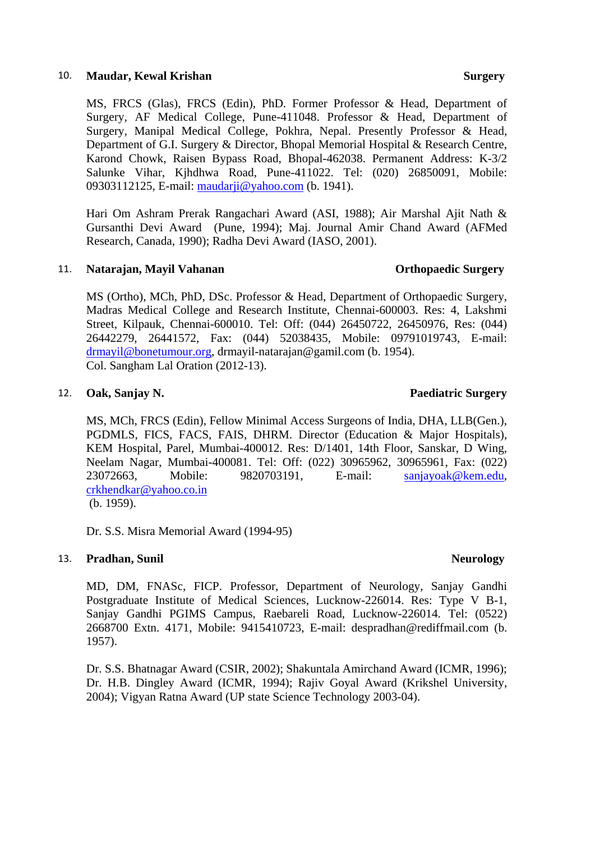### 10. **Maudar, Kewal Krishan Surgery and Surgery Surgery Surgery Surgery Surgery Surgery**

MS, FRCS (Glas), FRCS (Edin), PhD. Former Professor & Head, Department of Surgery, AF Medical College, Pune-411048. Professor & Head, Department of Surgery, Manipal Medical College, Pokhra, Nepal. Presently Professor & Head, Department of G.I. Surgery & Director, Bhopal Memorial Hospital & Research Centre, Karond Chowk, Raisen Bypass Road, Bhopal-462038. Permanent Address: K-3/2 Salunke Vihar, Kjhdhwa Road, Pune-411022. Tel: (020) 26850091, Mobile: 09303112125, E-mail: [maudarji@yahoo.com](mailto:maudarji@yahoo.com) (b. 1941).

Hari Om Ashram Prerak Rangachari Award (ASI, 1988); Air Marshal Ajit Nath & Gursanthi Devi Award (Pune, 1994); Maj. Journal Amir Chand Award (AFMed Research, Canada, 1990); Radha Devi Award (IASO, 2001).

### 11. **Natarajan, Mayil Vahanan Orthopaedic Surgery**

MS (Ortho), MCh, PhD, DSc. Professor & Head, Department of Orthopaedic Surgery, Madras Medical College and Research Institute, Chennai-600003. Res: 4, Lakshmi Street, Kilpauk, Chennai-600010. Tel: Off: (044) 26450722, 26450976, Res: (044) 26442279, 26441572, Fax: (044) 52038435, Mobile: 09791019743, E-mail: [drmayil@bonetumour.org,](mailto:drmayil@bonetumour.org) drmayil-natarajan@gamil.com (b. 1954). Col. Sangham Lal Oration (2012-13).

### 12. **Oak, Sanjay N. Paediatric Surgery**

MS, MCh, FRCS (Edin), Fellow Minimal Access Surgeons of India, DHA, LLB(Gen.), PGDMLS, FICS, FACS, FAIS, DHRM. Director (Education & Major Hospitals), KEM Hospital, Parel, Mumbai-400012. Res: D/1401, 14th Floor, Sanskar, D Wing, Neelam Nagar, Mumbai-400081. Tel: Off: (022) 30965962, 30965961, Fax: (022) 23072663, Mobile: 9820703191, E-mail: [sanjayoak@kem.edu,](mailto:sanjayoak@kem.edu) [crkhendkar@yahoo.co.in](mailto:crkhendkar@yahoo.co.in) (b. 1959).

Dr. S.S. Misra Memorial Award (1994-95)

### 13. **Pradhan, Sunil Neurology Neurology**

MD, DM, FNASc, FICP. Professor, Department of Neurology, Sanjay Gandhi Postgraduate Institute of Medical Sciences, Lucknow-226014. Res: Type V B-1, Sanjay Gandhi PGIMS Campus, Raebareli Road, Lucknow-226014. Tel: (0522) 2668700 Extn. 4171, Mobile: 9415410723, E-mail: despradhan@rediffmail.com (b. 1957).

Dr. S.S. Bhatnagar Award (CSIR, 2002); Shakuntala Amirchand Award (ICMR, 1996); Dr. H.B. Dingley Award (ICMR, 1994); Rajiv Goyal Award (Krikshel University, 2004); Vigyan Ratna Award (UP state Science Technology 2003-04).